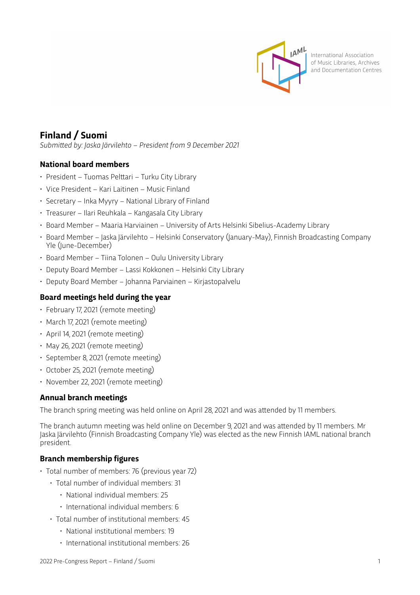

International Association of Music Libraries, Archives and Documentation Centres

# **Finland / Suomi**

*Submitted by: Jaska Järvilehto – President from 9 December 2021*

# **National board members**

- President Tuomas Pelttari Turku City Library
- Vice President Kari Laitinen Music Finland
- Secretary Inka Myyry National Library of Finland
- Treasurer Ilari Reuhkala Kangasala City Library
- Board Member Maaria Harviainen University of Arts Helsinki Sibelius-Academy Library
- Board Member Jaska Järvilehto Helsinki Conservatory (January-May), Finnish Broadcasting Company Yle (June-December)
- Board Member Tiina Tolonen Oulu University Library
- Deputy Board Member Lassi Kokkonen Helsinki City Library
- Deputy Board Member Johanna Parviainen Kirjastopalvelu

## **Board meetings held during the year**

- February 17, 2021 (remote meeting)
- March 17, 2021 (remote meeting)
- April 14, 2021 (remote meeting)
- May 26, 2021 (remote meeting)
- September 8, 2021 (remote meeting)
- October 25, 2021 (remote meeting)
- November 22, 2021 (remote meeting)

## **Annual branch meetings**

The branch spring meeting was held online on April 28, 2021 and was attended by 11 members.

The branch autumn meeting was held online on December 9, 2021 and was attended by 11 members. Mr Jaska Järvilehto (Finnish Broadcasting Company Yle) was elected as the new Finnish IAML national branch president.

## **Branch membership figures**

- Total number of members: 76 (previous year 72)
	- Total number of individual members: 31
		- National individual members: 25
		- International individual members: 6
	- Total number of institutional members: 45
		- National institutional members: 19
		- International institutional members: 26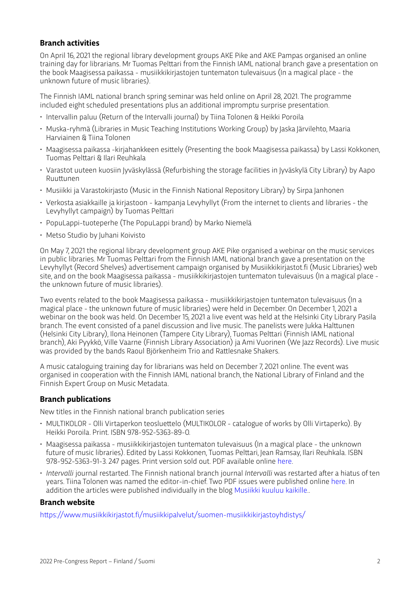## **Branch activities**

On April 16, 2021 the regional library development groups AKE Pike and AKE Pampas organised an online training day for librarians. Mr Tuomas Pelttari from the Finnish IAML national branch gave a presentation on the book Maagisessa paikassa - musiikkikirjastojen tuntematon tulevaisuus (In a magical place - the unknown future of music libraries).

The Finnish IAML national branch spring seminar was held online on April 28, 2021. The programme included eight scheduled presentations plus an additional impromptu surprise presentation.

- Intervallin paluu (Return of the Intervalli journal) by Tiina Tolonen & Heikki Poroila
- Muska-ryhmä (Libraries in Music Teaching Institutions Working Group) by Jaska Järvilehto, Maaria Harviainen & Tiina Tolonen
- Maagisessa paikassa -kirjahankkeen esittely (Presenting the book Maagisessa paikassa) by Lassi Kokkonen, Tuomas Pelttari & Ilari Reuhkala
- Varastot uuteen kuosiin Jyväskylässä (Refurbishing the storage facilities in Jyväskylä City Library) by Aapo Ruuttunen
- Musiikki ja Varastokirjasto (Music in the Finnish National Repository Library) by Sirpa Janhonen
- Verkosta asiakkaille ja kirjastoon kampanja Levyhyllyt (From the internet to clients and libraries the Levyhyllyt campaign) by Tuomas Pelttari
- PopuLappi-tuoteperhe (The PopuLappi brand) by Marko Niemelä
- Metso Studio by Juhani Koivisto

On May 7, 2021 the regional library development group AKE Pike organised a webinar on the music services in public libraries. Mr Tuomas Pelttari from the Finnish IAML national branch gave a presentation on the Levyhyllyt (Record Shelves) advertisement campaign organised by Musiikkikirjastot.fi (Music Libraries) web site, and on the book Maagisessa paikassa - musiikkikirjastojen tuntematon tulevaisuus (In a magical place the unknown future of music libraries).

Two events related to the book Maagisessa paikassa - musiikkikirjastojen tuntematon tulevaisuus (In a magical place - the unknown future of music libraries) were held in December. On December 1, 2021 a webinar on the book was held. On December 15, 2021 a live event was held at the Helsinki City Library Pasila branch. The event consisted of a panel discussion and live music. The panelists were Jukka Halttunen (Helsinki City Library), Ilona Heinonen (Tampere City Library), Tuomas Pelttari (Finnish IAML national branch), Aki Pyykkö, Ville Vaarne (Finnish Library Association) ja Ami Vuorinen (We Jazz Records). Live music was provided by the bands Raoul Björkenheim Trio and Rattlesnake Shakers.

A music cataloguing training day for librarians was held on December 7, 2021 online. The event was organised in cooperation with the Finnish IAML national branch, the National Library of Finland and the Finnish Expert Group on Music Metadata.

## **Branch publications**

New titles in the Finnish national branch publication series

- MULTIKOLOR Olli Virtaperkon teosluettelo (MULTIKOLOR catalogue of works by Olli Virtaperko). By Heikki Poroila. Print. ISBN 978-952-5363-89-0.
- Maagisessa paikassa musiikkikirjastojen tuntematon tulevaisuus (In a magical place the unknown future of music libraries). Edited by Lassi Kokkonen, Tuomas Pelttari, Jean Ramsay, Ilari Reuhkala. ISBN 978-952-5363-91-3. 247 pages. Print version sold out. PDF available online [here.](https://www.musiikkikirjastot.fi/musiikkipalvelut/suomen-musiikkikirjastoyhdistys/maagisessa-paikassa/)
- *Intervalli* journal restarted. The Finnish national branch journal *Intervalli* was restarted after a hiatus of ten years. Tiina Tolonen was named the editor-in-chief. Two PDF issues were published online [here](https://www.musiikkikirjastot.fi/musiikkipalvelut/suomen-musiikkikirjastoyhdistys/intervalli/). In addition the articles were published individually in the blog [Musiikki kuuluu kaikille](https://musiikkikuuluukaikille.musiikkikirjastot.fi)..

#### **Branch website**

htt[ps://www.musiikkikirjastot.fi/musiikkipalvelut/suomen-musiikkikirjastoyhdistys/](https://www.musiikkikirjastot.fi/musiikkipalvelut/suomen-musiikkikirjastoyhdistys/)